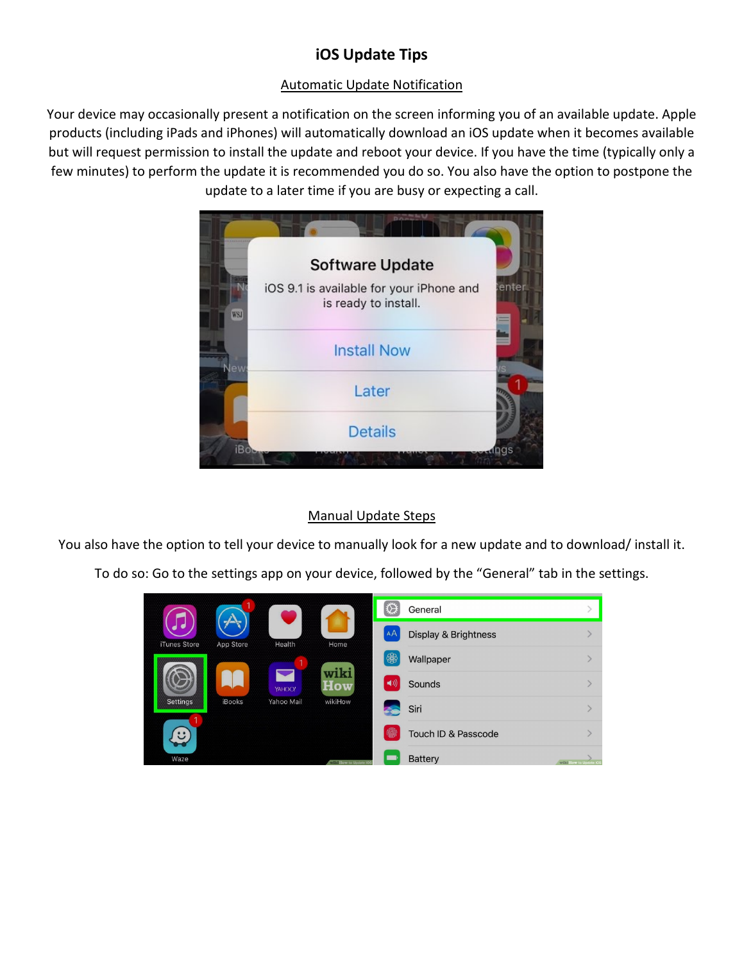## **iOS Update Tips**

## Automatic Update Notification

Your device may occasionally present a notification on the screen informing you of an available update. Apple products (including iPads and iPhones) will automatically download an iOS update when it becomes available but will request permission to install the update and reboot your device. If you have the time (typically only a few minutes) to perform the update it is recommended you do so. You also have the option to postpone the update to a later time if you are busy or expecting a call.



## Manual Update Steps

You also have the option to tell your device to manually look for a new update and to download/ install it.

To do so: Go to the settings app on your device, followed by the "General" tab in the settings.